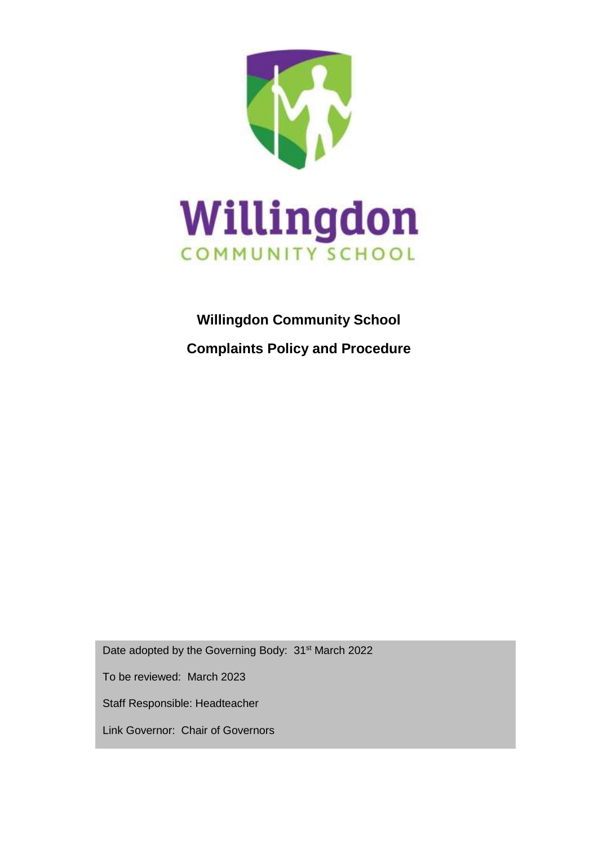

# **Willingdon Community School Complaints Policy and Procedure**

Date adopted by the Governing Body: 31<sup>st</sup> March 2022

To be reviewed: March 2023

Staff Responsible: Headteacher

Link Governor: Chair of Governors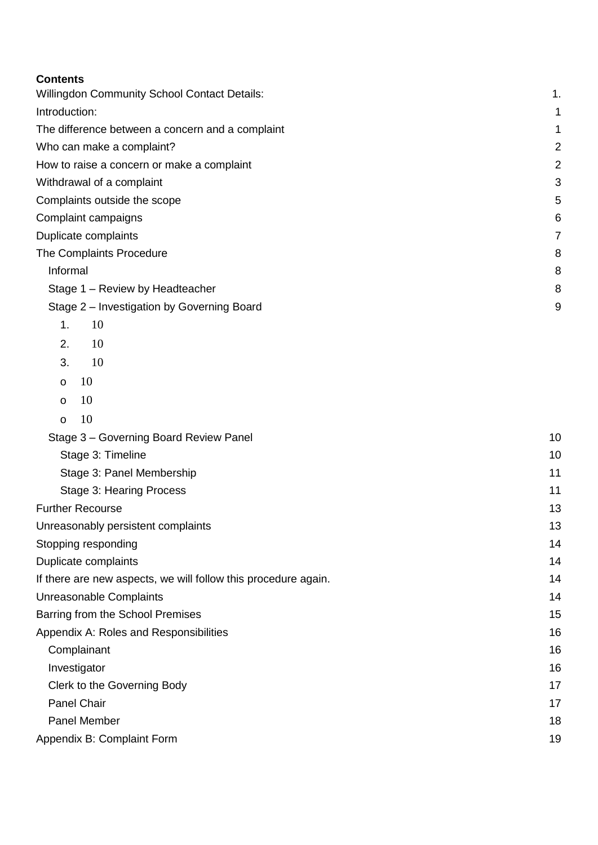#### **Contents**

| <b>CONTENTS</b>                                                |                |  |  |
|----------------------------------------------------------------|----------------|--|--|
| <b>Willingdon Community School Contact Details:</b>            | 1.             |  |  |
| Introduction:                                                  | 1              |  |  |
| The difference between a concern and a complaint               |                |  |  |
| Who can make a complaint?                                      | $\overline{c}$ |  |  |
| How to raise a concern or make a complaint                     | $\overline{2}$ |  |  |
| Withdrawal of a complaint                                      | 3              |  |  |
| Complaints outside the scope                                   | 5              |  |  |
| Complaint campaigns                                            | 6              |  |  |
| Duplicate complaints                                           | $\overline{7}$ |  |  |
| The Complaints Procedure                                       | 8              |  |  |
| Informal                                                       | 8              |  |  |
| Stage 1 - Review by Headteacher                                | 8              |  |  |
| Stage 2 - Investigation by Governing Board                     | 9              |  |  |
| 1.<br>10                                                       |                |  |  |
| 2.<br>10                                                       |                |  |  |
| 10<br>3.                                                       |                |  |  |
| 10<br>o                                                        |                |  |  |
| 10<br>$\mathbf O$                                              |                |  |  |
| 10<br>$\mathsf{o}$                                             |                |  |  |
| Stage 3 - Governing Board Review Panel                         | 10             |  |  |
| Stage 3: Timeline                                              | 10             |  |  |
| Stage 3: Panel Membership                                      | 11             |  |  |
| Stage 3: Hearing Process                                       | 11             |  |  |
| <b>Further Recourse</b>                                        | 13             |  |  |
| Unreasonably persistent complaints                             |                |  |  |
| Stopping responding                                            | 14             |  |  |
| Duplicate complaints                                           | 14             |  |  |
| If there are new aspects, we will follow this procedure again. | 14             |  |  |
| Unreasonable Complaints                                        | 14             |  |  |
| Barring from the School Premises                               |                |  |  |

[Appendix A: Roles and Responsibilities](#page-16-0)[Complainant](#page-16-1)[Investigator](#page-16-2)[Clerk to the Governing Body](#page-17-0)[Panel Chair](#page-17-1)[Panel Member](#page-17-2)

[Appendix B: Complaint Form](#page-19-0) 19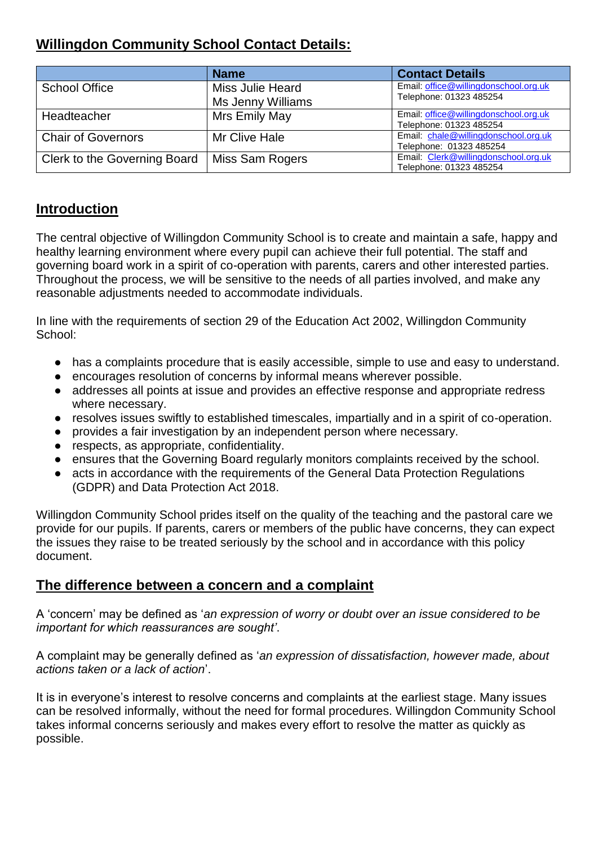# <span id="page-2-2"></span>**Willingdon Community School Contact Details:**

|                              | <b>Name</b>       | <b>Contact Details</b>                                           |
|------------------------------|-------------------|------------------------------------------------------------------|
| <b>School Office</b>         | Miss Julie Heard  | Email: office@willingdonschool.org.uk<br>Telephone: 01323 485254 |
|                              | Ms Jenny Williams |                                                                  |
| Headteacher                  | Mrs Emily May     | Email: office@willingdonschool.org.uk<br>Telephone: 01323 485254 |
| <b>Chair of Governors</b>    | Mr Clive Hale     | Email: chale@willingdonschool.org.uk<br>Telephone: 01323 485254  |
| Clerk to the Governing Board | Miss Sam Rogers   | Email: Clerk@willingdonschool.org.uk<br>Telephone: 01323 485254  |

#### <span id="page-2-0"></span>**Introduction**

The central objective of Willingdon Community School is to create and maintain a safe, happy and healthy learning environment where every pupil can achieve their full potential. The staff and governing board work in a spirit of co-operation with parents, carers and other interested parties. Throughout the process, we will be sensitive to the needs of all parties involved, and make any reasonable adjustments needed to accommodate individuals.

In line with the requirements of section 29 of the Education Act 2002, Willingdon Community School:

- has a complaints procedure that is easily accessible, simple to use and easy to understand.
- encourages resolution of concerns by informal means wherever possible.
- addresses all points at issue and provides an effective response and appropriate redress where necessary.
- resolves issues swiftly to established timescales, impartially and in a spirit of co-operation.
- provides a fair investigation by an independent person where necessary.
- respects, as appropriate, confidentiality.
- ensures that the Governing Board regularly monitors complaints received by the school.
- acts in accordance with the requirements of the General Data Protection Regulations (GDPR) and Data Protection Act 2018.

Willingdon Community School prides itself on the quality of the teaching and the pastoral care we provide for our pupils. If parents, carers or members of the public have concerns, they can expect the issues they raise to be treated seriously by the school and in accordance with this policy document.

## <span id="page-2-1"></span>**The difference between a concern and a complaint**

A 'concern' may be defined as '*an expression of worry or doubt over an issue considered to be important for which reassurances are sought'*.

A complaint may be generally defined as '*an expression of dissatisfaction, however made, about actions taken or a lack of action*'.

It is in everyone's interest to resolve concerns and complaints at the earliest stage. Many issues can be resolved informally, without the need for formal procedures. Willingdon Community School takes informal concerns seriously and makes every effort to resolve the matter as quickly as possible.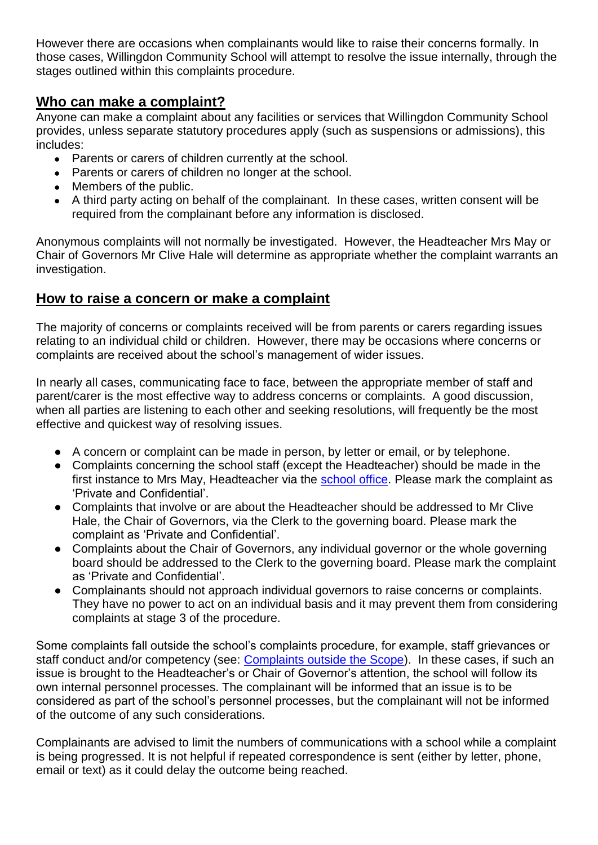However there are occasions when complainants would like to raise their concerns formally. In those cases, Willingdon Community School will attempt to resolve the issue internally, through the stages outlined within this complaints procedure.

#### <span id="page-3-0"></span>**Who can make a complaint?**

Anyone can make a complaint about any facilities or services that Willingdon Community School provides, unless separate statutory procedures apply (such as suspensions or admissions), this includes:

- Parents or carers of children currently at the school.
- Parents or carers of children no longer at the school.
- Members of the public.
- A third party acting on behalf of the complainant. In these cases, written consent will be required from the complainant before any information is disclosed.

Anonymous complaints will not normally be investigated. However, the Headteacher Mrs May or Chair of Governors Mr Clive Hale will determine as appropriate whether the complaint warrants an investigation.

## <span id="page-3-1"></span>**How to raise a concern or make a complaint**

The majority of concerns or complaints received will be from parents or carers regarding issues relating to an individual child or children. However, there may be occasions where concerns or complaints are received about the school's management of wider issues.

In nearly all cases, communicating face to face, between the appropriate member of staff and parent/carer is the most effective way to address concerns or complaints. A good discussion, when all parties are listening to each other and seeking resolutions, will frequently be the most effective and quickest way of resolving issues.

- A concern or complaint can be made in person, by letter or email, or by telephone.
- Complaints concerning the school staff (except the Headteacher) should be made in the first instance to Mrs May, Headteacher via the [school office.](#page-2-2) Please mark the complaint as 'Private and Confidential'.
- Complaints that involve or are about the Headteacher should be addressed to Mr Clive Hale, the Chair of Governors, via the Clerk to the governing board. Please mark the complaint as 'Private and Confidential'.
- Complaints about the Chair of Governors, any individual governor or the whole governing board should be addressed to the Clerk to the governing board. Please mark the complaint as 'Private and Confidential'.
- Complainants should not approach individual governors to raise concerns or complaints. They have no power to act on an individual basis and it may prevent them from considering complaints at stage 3 of the procedure.

Some complaints fall outside the school's complaints procedure, for example, staff grievances or staff conduct and/or competency (see: [Complaints outside the Scope\)](#page-5-0). In these cases, if such an issue is brought to the Headteacher's or Chair of Governor's attention, the school will follow its own internal personnel processes. The complainant will be informed that an issue is to be considered as part of the school's personnel processes, but the complainant will not be informed of the outcome of any such considerations.

Complainants are advised to limit the numbers of communications with a school while a complaint is being progressed. It is not helpful if repeated correspondence is sent (either by letter, phone, email or text) as it could delay the outcome being reached.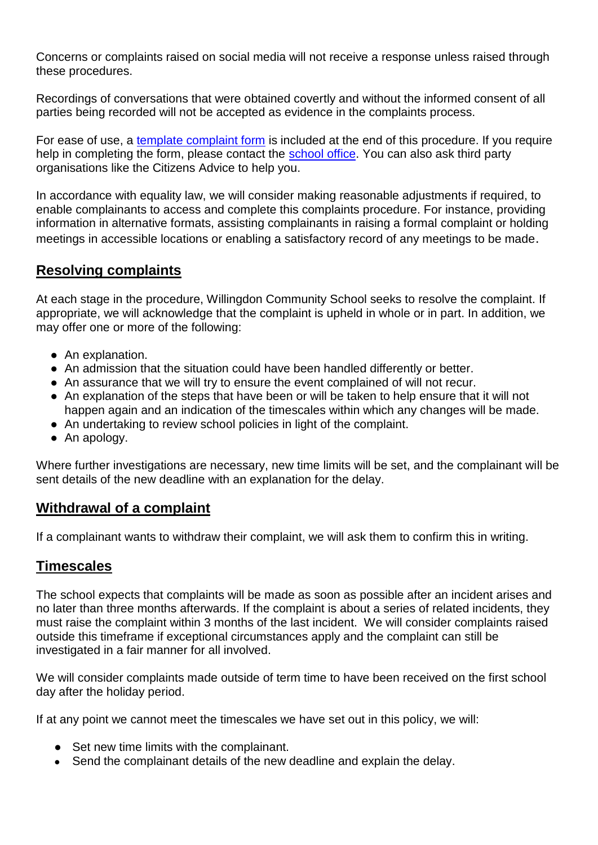Concerns or complaints raised on social media will not receive a response unless raised through these procedures.

Recordings of conversations that were obtained covertly and without the informed consent of all parties being recorded will not be accepted as evidence in the complaints process.

For ease of use, a [template complaint form](#page-19-0) is included at the end of this procedure. If you require help in completing the form, please contact the [school office.](#page-2-2) You can also ask third party organisations like the Citizens Advice to help you.

In accordance with equality law, we will consider making reasonable adjustments if required, to enable complainants to access and complete this complaints procedure. For instance, providing information in alternative formats, assisting complainants in raising a formal complaint or holding meetings in accessible locations or enabling a satisfactory record of any meetings to be made.

## **Resolving complaints**

At each stage in the procedure, Willingdon Community School seeks to resolve the complaint. If appropriate, we will acknowledge that the complaint is upheld in whole or in part. In addition, we may offer one or more of the following:

- An explanation.
- An admission that the situation could have been handled differently or better.
- An assurance that we will try to ensure the event complained of will not recur.
- An explanation of the steps that have been or will be taken to help ensure that it will not happen again and an indication of the timescales within which any changes will be made.
- An undertaking to review school policies in light of the complaint.
- An apology.

Where further investigations are necessary, new time limits will be set, and the complainant will be sent details of the new deadline with an explanation for the delay.

## <span id="page-4-0"></span>**Withdrawal of a complaint**

If a complainant wants to withdraw their complaint, we will ask them to confirm this in writing.

## **Timescales**

The school expects that complaints will be made as soon as possible after an incident arises and no later than three months afterwards. If the complaint is about a series of related incidents, they must raise the complaint within 3 months of the last incident. We will consider complaints raised outside this timeframe if exceptional circumstances apply and the complaint can still be investigated in a fair manner for all involved.

We will consider complaints made outside of term time to have been received on the first school day after the holiday period.

If at any point we cannot meet the timescales we have set out in this policy, we will:

- Set new time limits with the complainant.
- Send the complainant details of the new deadline and explain the delay.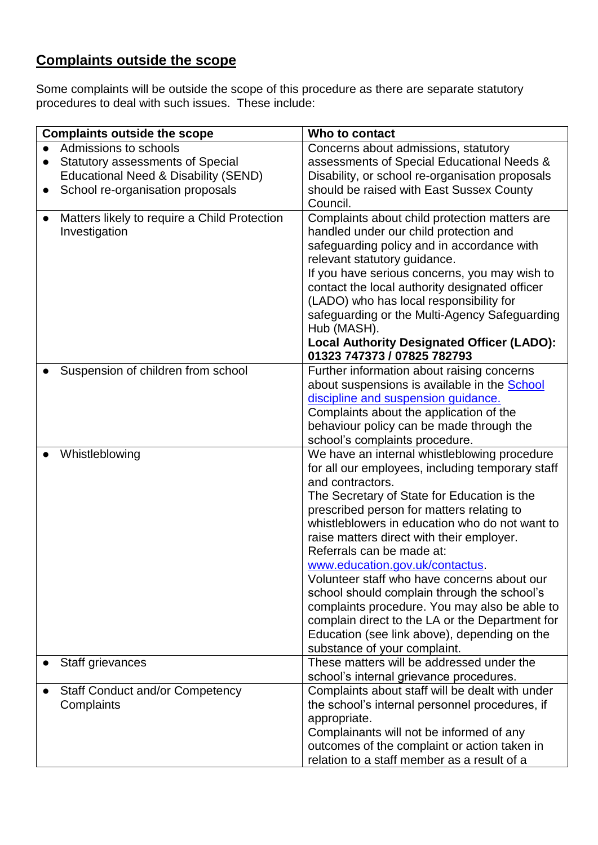# <span id="page-5-0"></span>**Complaints outside the scope**

Some complaints will be outside the scope of this procedure as there are separate statutory procedures to deal with such issues. These include:

| <b>Complaints outside the scope</b>          | Who to contact                                                                 |  |
|----------------------------------------------|--------------------------------------------------------------------------------|--|
| Admissions to schools                        | Concerns about admissions, statutory                                           |  |
| <b>Statutory assessments of Special</b>      | assessments of Special Educational Needs &                                     |  |
| Educational Need & Disability (SEND)         | Disability, or school re-organisation proposals                                |  |
| School re-organisation proposals             | should be raised with East Sussex County                                       |  |
|                                              | Council.                                                                       |  |
| Matters likely to require a Child Protection | Complaints about child protection matters are                                  |  |
| Investigation                                | handled under our child protection and                                         |  |
|                                              | safeguarding policy and in accordance with                                     |  |
|                                              | relevant statutory guidance.                                                   |  |
|                                              | If you have serious concerns, you may wish to                                  |  |
|                                              | contact the local authority designated officer                                 |  |
|                                              | (LADO) who has local responsibility for                                        |  |
|                                              | safeguarding or the Multi-Agency Safeguarding                                  |  |
|                                              | Hub (MASH).                                                                    |  |
|                                              | <b>Local Authority Designated Officer (LADO):</b>                              |  |
|                                              | 01323 747373 / 07825 782793                                                    |  |
| Suspension of children from school           | Further information about raising concerns                                     |  |
|                                              | about suspensions is available in the School                                   |  |
|                                              | discipline and suspension guidance.                                            |  |
|                                              | Complaints about the application of the                                        |  |
|                                              | behaviour policy can be made through the                                       |  |
|                                              | school's complaints procedure.                                                 |  |
| Whistleblowing                               | We have an internal whistleblowing procedure                                   |  |
|                                              | for all our employees, including temporary staff                               |  |
|                                              | and contractors.                                                               |  |
|                                              | The Secretary of State for Education is the                                    |  |
|                                              | prescribed person for matters relating to                                      |  |
|                                              | whistleblowers in education who do not want to                                 |  |
|                                              | raise matters direct with their employer.                                      |  |
|                                              | Referrals can be made at:                                                      |  |
|                                              | www.education.gov.uk/contactus.<br>Volunteer staff who have concerns about our |  |
|                                              | school should complain through the school's                                    |  |
|                                              | complaints procedure. You may also be able to                                  |  |
|                                              | complain direct to the LA or the Department for                                |  |
|                                              | Education (see link above), depending on the                                   |  |
|                                              | substance of your complaint.                                                   |  |
| Staff grievances                             | These matters will be addressed under the                                      |  |
|                                              | school's internal grievance procedures.                                        |  |
| <b>Staff Conduct and/or Competency</b>       | Complaints about staff will be dealt with under                                |  |
| Complaints                                   | the school's internal personnel procedures, if                                 |  |
|                                              | appropriate.                                                                   |  |
|                                              | Complainants will not be informed of any                                       |  |
|                                              | outcomes of the complaint or action taken in                                   |  |
|                                              | relation to a staff member as a result of a                                    |  |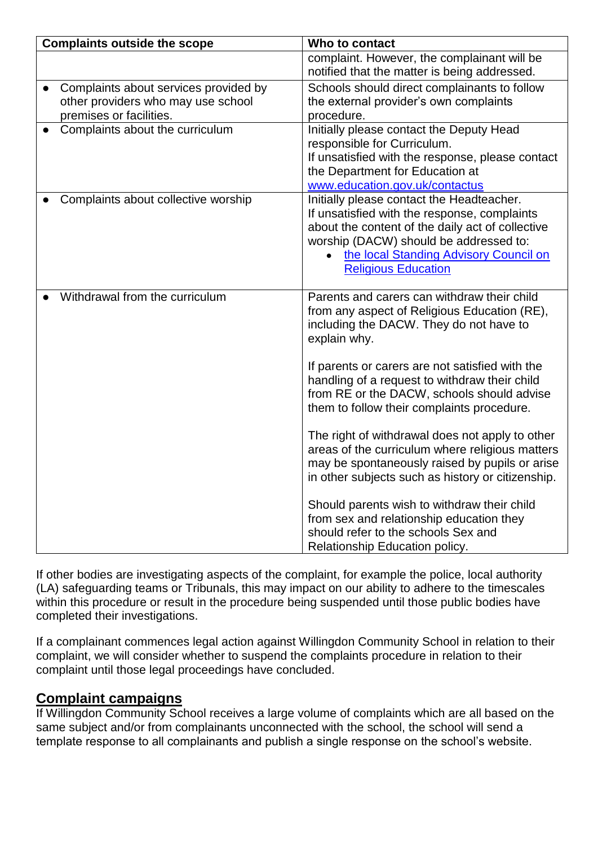| <b>Complaints outside the scope</b>   | Who to contact                                                                              |
|---------------------------------------|---------------------------------------------------------------------------------------------|
|                                       | complaint. However, the complainant will be<br>notified that the matter is being addressed. |
| Complaints about services provided by | Schools should direct complainants to follow                                                |
| other providers who may use school    | the external provider's own complaints                                                      |
| premises or facilities.               | procedure.                                                                                  |
| Complaints about the curriculum       | Initially please contact the Deputy Head                                                    |
|                                       | responsible for Curriculum.                                                                 |
|                                       | If unsatisfied with the response, please contact                                            |
|                                       | the Department for Education at                                                             |
|                                       | www.education.gov.uk/contactus                                                              |
| Complaints about collective worship   | Initially please contact the Headteacher.                                                   |
|                                       | If unsatisfied with the response, complaints                                                |
|                                       | about the content of the daily act of collective                                            |
|                                       | worship (DACW) should be addressed to:                                                      |
|                                       | the local Standing Advisory Council on<br>$\bullet$                                         |
|                                       | <b>Religious Education</b>                                                                  |
| Withdrawal from the curriculum        | Parents and carers can withdraw their child                                                 |
|                                       | from any aspect of Religious Education (RE),                                                |
|                                       | including the DACW. They do not have to                                                     |
|                                       | explain why.                                                                                |
|                                       |                                                                                             |
|                                       | If parents or carers are not satisfied with the                                             |
|                                       | handling of a request to withdraw their child                                               |
|                                       | from RE or the DACW, schools should advise                                                  |
|                                       | them to follow their complaints procedure.                                                  |
|                                       |                                                                                             |
|                                       | The right of withdrawal does not apply to other                                             |
|                                       | areas of the curriculum where religious matters                                             |
|                                       | may be spontaneously raised by pupils or arise                                              |
|                                       | in other subjects such as history or citizenship.                                           |
|                                       |                                                                                             |
|                                       | Should parents wish to withdraw their child                                                 |
|                                       | from sex and relationship education they                                                    |
|                                       | should refer to the schools Sex and                                                         |
|                                       | Relationship Education policy.                                                              |

If other bodies are investigating aspects of the complaint, for example the police, local authority (LA) safeguarding teams or Tribunals, this may impact on our ability to adhere to the timescales within this procedure or result in the procedure being suspended until those public bodies have completed their investigations.

If a complainant commences legal action against Willingdon Community School in relation to their complaint, we will consider whether to suspend the complaints procedure in relation to their complaint until those legal proceedings have concluded.

# <span id="page-6-0"></span>**Complaint campaigns**

If Willingdon Community School receives a large volume of complaints which are all based on the same subject and/or from complainants unconnected with the school, the school will send a template response to all complainants and publish a single response on the school's website.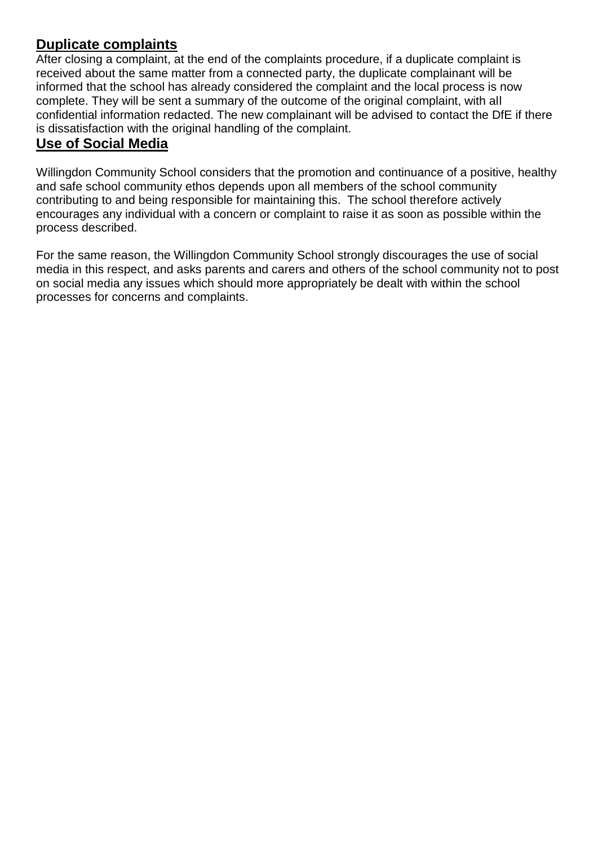## <span id="page-7-0"></span>**Duplicate complaints**

After closing a complaint, at the end of the complaints procedure, if a duplicate complaint is received about the same matter from a connected party, the duplicate complainant will be informed that the school has already considered the complaint and the local process is now complete. They will be sent a summary of the outcome of the original complaint, with all confidential information redacted. The new complainant will be advised to contact the DfE if there is dissatisfaction with the original handling of the complaint.

#### **Use of Social Media**

Willingdon Community School considers that the promotion and continuance of a positive, healthy and safe school community ethos depends upon all members of the school community contributing to and being responsible for maintaining this. The school therefore actively encourages any individual with a concern or complaint to raise it as soon as possible within the process described.

For the same reason, the Willingdon Community School strongly discourages the use of social media in this respect, and asks parents and carers and others of the school community not to post on social media any issues which should more appropriately be dealt with within the school processes for concerns and complaints.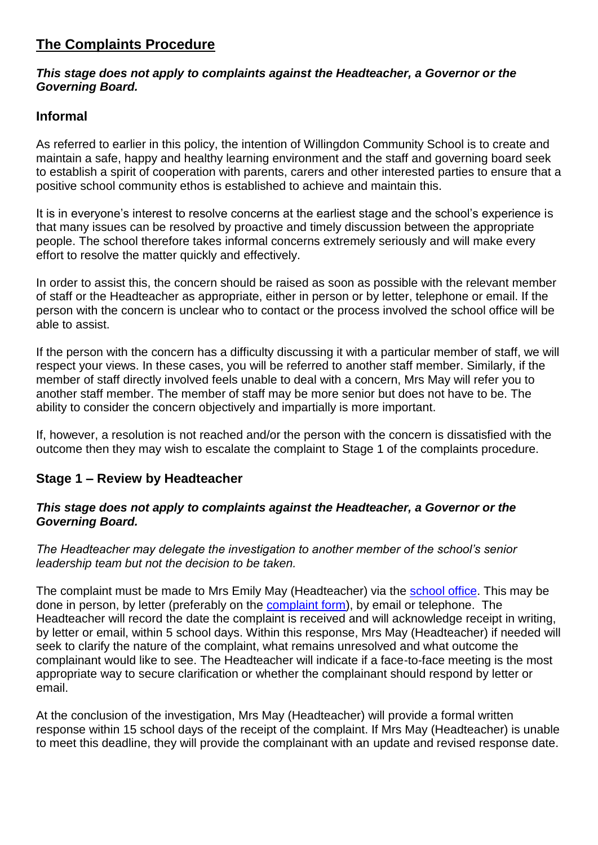## <span id="page-8-0"></span>**The Complaints Procedure**

#### *This stage does not apply to complaints against the Headteacher, a Governor or the Governing Board.*

#### <span id="page-8-1"></span>**Informal**

As referred to earlier in this policy, the intention of Willingdon Community School is to create and maintain a safe, happy and healthy learning environment and the staff and governing board seek to establish a spirit of cooperation with parents, carers and other interested parties to ensure that a positive school community ethos is established to achieve and maintain this.

It is in everyone's interest to resolve concerns at the earliest stage and the school's experience is that many issues can be resolved by proactive and timely discussion between the appropriate people. The school therefore takes informal concerns extremely seriously and will make every effort to resolve the matter quickly and effectively.

In order to assist this, the concern should be raised as soon as possible with the relevant member of staff or the Headteacher as appropriate, either in person or by letter, telephone or email. If the person with the concern is unclear who to contact or the process involved [the school office](#page-2-2) will be able to assist.

If the person with the concern has a difficulty discussing it with a particular member of staff, we will respect your views. In these cases, you will be referred to another staff member. Similarly, if the member of staff directly involved feels unable to deal with a concern, Mrs May will refer you to another staff member. The member of staff may be more senior but does not have to be. The ability to consider the concern objectively and impartially is more important.

If, however, a resolution is not reached and/or the person with the concern is dissatisfied with the outcome then they may wish to escalate the complaint to Stage 1 of the complaints procedure.

#### <span id="page-8-2"></span>**Stage 1 – Review by Headteacher**

#### *This stage does not apply to complaints against the Headteacher, a Governor or the Governing Board.*

*The Headteacher may delegate the investigation to another member of the school's senior leadership team but not the decision to be taken.*

The complaint must be made to Mrs Emily May (Headteacher) via the [school office.](#page-2-2) This may be done in person, by letter (preferably on the [complaint form\)](#page-19-0), by email or telephone. The Headteacher will record the date the complaint is received and will acknowledge receipt in writing, by letter or email, within 5 school days. Within this response, Mrs May (Headteacher) if needed will seek to clarify the nature of the complaint, what remains unresolved and what outcome the complainant would like to see. The Headteacher will indicate if a face-to-face meeting is the most appropriate way to secure clarification or whether the complainant should respond by letter or email.

At the conclusion of the investigation, Mrs May (Headteacher) will provide a formal written response within 15 school days of the receipt of the complaint. If Mrs May (Headteacher) is unable to meet this deadline, they will provide the complainant with an update and revised response date.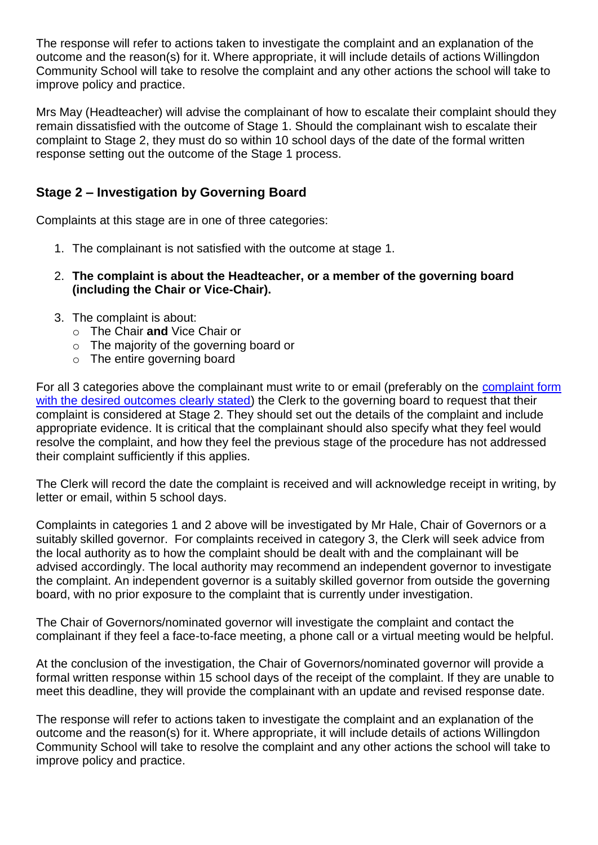The response will refer to actions taken to investigate the complaint and an explanation of the outcome and the reason(s) for it. Where appropriate, it will include details of actions Willingdon Community School will take to resolve the complaint and any other actions the school will take to improve policy and practice.

Mrs May (Headteacher) will advise the complainant of how to escalate their complaint should they remain dissatisfied with the outcome of Stage 1. Should the complainant wish to escalate their complaint to Stage 2, they must do so within 10 school days of the date of the formal written response setting out the outcome of the Stage 1 process.

#### <span id="page-9-0"></span>**Stage 2 – Investigation by Governing Board**

Complaints at this stage are in one of three categories:

- <span id="page-9-1"></span>1. The complainant is not satisfied with the outcome at stage 1.
- <span id="page-9-2"></span>2. **The complaint is about the Headteacher, or a member of the governing board (including the Chair or Vice-Chair).**
- <span id="page-9-5"></span><span id="page-9-4"></span><span id="page-9-3"></span>3. The complaint is about:
	- o The Chair **and** Vice Chair or
	- o The majority of the governing board or
	- o The entire governing board

<span id="page-9-6"></span>For all 3 categories above the complainant must write to or email (preferably on the [complaint form](#page-19-0) with the desired outcomes clearly stated) the Clerk to the governing board to request that their complaint is considered at Stage 2. They should set out the details of the complaint and include appropriate evidence. It is critical that the complainant should also specify what they feel would resolve the complaint, and how they feel the previous stage of the procedure has not addressed their complaint sufficiently if this applies.

The Clerk will record the date the complaint is received and will acknowledge receipt in writing, by letter or email, within 5 school days.

Complaints in categories 1 and 2 above will be investigated by Mr Hale, Chair of Governors or a suitably skilled governor. For complaints received in category 3, the Clerk will seek advice from the local authority as to how the complaint should be dealt with and the complainant will be advised accordingly. The local authority may recommend an independent governor to investigate the complaint. An independent governor is a suitably skilled governor from outside the governing board, with no prior exposure to the complaint that is currently under investigation.

The Chair of Governors/nominated governor will investigate the complaint and contact the complainant if they feel a face-to-face meeting, a phone call or a virtual meeting would be helpful.

At the conclusion of the investigation, the Chair of Governors/nominated governor will provide a formal written response within 15 school days of the receipt of the complaint. If they are unable to meet this deadline, they will provide the complainant with an update and revised response date.

The response will refer to actions taken to investigate the complaint and an explanation of the outcome and the reason(s) for it. Where appropriate, it will include details of actions Willingdon Community School will take to resolve the complaint and any other actions the school will take to improve policy and practice.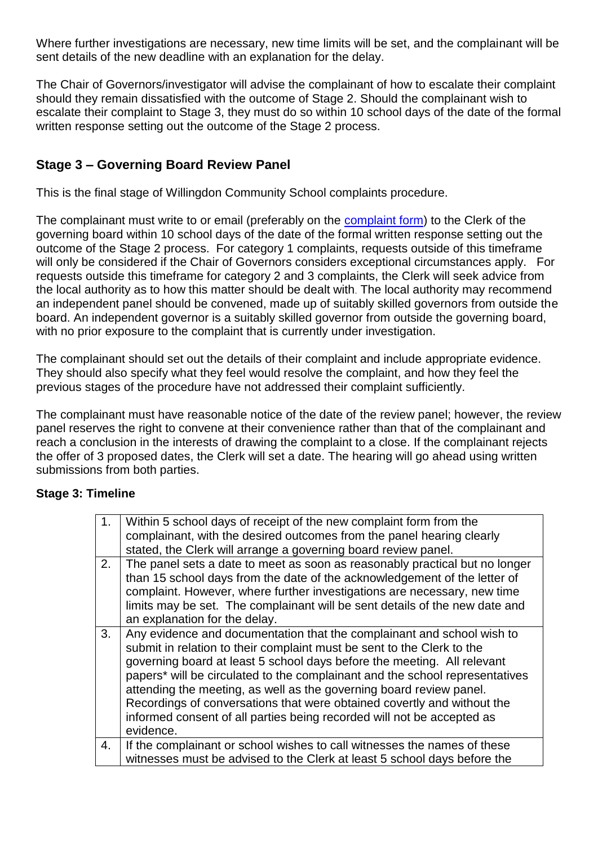Where further investigations are necessary, new time limits will be set, and the complainant will be sent details of the new deadline with an explanation for the delay.

The Chair of Governors/investigator will advise the complainant of how to escalate their complaint should they remain dissatisfied with the outcome of Stage 2. Should the complainant wish to escalate their complaint to Stage 3, they must do so within 10 school days of the date of the formal written response setting out the outcome of the Stage 2 process.

#### <span id="page-10-0"></span>**Stage 3 – Governing Board Review Panel**

This is the final stage of Willingdon Community School complaints procedure.

The complainant must write to or email (preferably on the [complaint form\)](#page-2-2) to the Clerk of the governing board within 10 school days of the date of the formal written response setting out the outcome of the Stage 2 process. For category 1 complaints, requests outside of this timeframe will only be considered if the Chair of Governors considers exceptional circumstances apply. For requests outside this timeframe for category 2 and 3 complaints, the Clerk will seek advice from the local authority as to how this matter should be dealt with. The local authority may recommend an independent panel should be convened, made up of suitably skilled governors from outside the board. An independent governor is a suitably skilled governor from outside the governing board, with no prior exposure to the complaint that is currently under investigation.

The complainant should set out the details of their complaint and include appropriate evidence. They should also specify what they feel would resolve the complaint, and how they feel the previous stages of the procedure have not addressed their complaint sufficiently.

<span id="page-10-1"></span>The complainant must have reasonable notice of the date of the review panel; however, the review panel reserves the right to convene at their convenience rather than that of the complainant and reach a conclusion in the interests of drawing the complaint to a close. If the complainant rejects the offer of 3 proposed dates, the Clerk will set a date. The hearing will go ahead using written submissions from both parties.

#### **Stage 3: Timeline**

| 1. | Within 5 school days of receipt of the new complaint form from the<br>complainant, with the desired outcomes from the panel hearing clearly                                                                                                                                                                                                                                                                                                                                                                                                          |
|----|------------------------------------------------------------------------------------------------------------------------------------------------------------------------------------------------------------------------------------------------------------------------------------------------------------------------------------------------------------------------------------------------------------------------------------------------------------------------------------------------------------------------------------------------------|
|    | stated, the Clerk will arrange a governing board review panel.                                                                                                                                                                                                                                                                                                                                                                                                                                                                                       |
| 2. | The panel sets a date to meet as soon as reasonably practical but no longer<br>than 15 school days from the date of the acknowledgement of the letter of<br>complaint. However, where further investigations are necessary, new time<br>limits may be set. The complainant will be sent details of the new date and<br>an explanation for the delay.                                                                                                                                                                                                 |
| 3. | Any evidence and documentation that the complainant and school wish to<br>submit in relation to their complaint must be sent to the Clerk to the<br>governing board at least 5 school days before the meeting. All relevant<br>papers* will be circulated to the complainant and the school representatives<br>attending the meeting, as well as the governing board review panel.<br>Recordings of conversations that were obtained covertly and without the<br>informed consent of all parties being recorded will not be accepted as<br>evidence. |
| 4. | If the complainant or school wishes to call witnesses the names of these                                                                                                                                                                                                                                                                                                                                                                                                                                                                             |
|    | witnesses must be advised to the Clerk at least 5 school days before the                                                                                                                                                                                                                                                                                                                                                                                                                                                                             |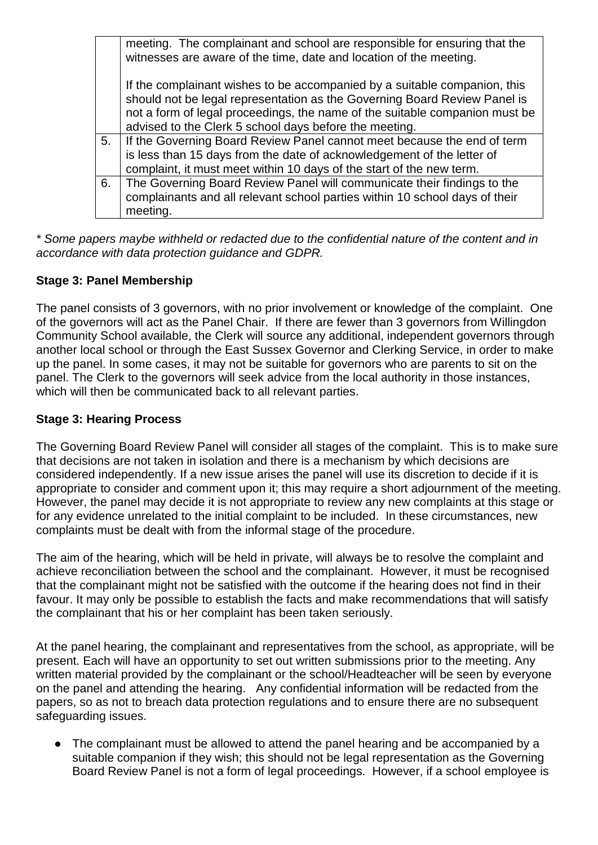|    | meeting. The complainant and school are responsible for ensuring that the<br>witnesses are aware of the time, date and location of the meeting.                                                                                                                                                 |
|----|-------------------------------------------------------------------------------------------------------------------------------------------------------------------------------------------------------------------------------------------------------------------------------------------------|
|    | If the complainant wishes to be accompanied by a suitable companion, this<br>should not be legal representation as the Governing Board Review Panel is<br>not a form of legal proceedings, the name of the suitable companion must be<br>advised to the Clerk 5 school days before the meeting. |
| 5. | If the Governing Board Review Panel cannot meet because the end of term<br>is less than 15 days from the date of acknowledgement of the letter of<br>complaint, it must meet within 10 days of the start of the new term.                                                                       |
| 6. | The Governing Board Review Panel will communicate their findings to the<br>complainants and all relevant school parties within 10 school days of their<br>meeting.                                                                                                                              |

*\* Some papers maybe withheld or redacted due to the confidential nature of the content and in accordance with data protection guidance and GDPR.*

#### <span id="page-11-0"></span>**Stage 3: Panel Membership**

The panel consists of 3 governors, with no prior involvement or knowledge of the complaint. One of the governors will act as the Panel Chair. If there are fewer than 3 governors from Willingdon Community School available, the Clerk will source any additional, independent governors through another local school or through the East Sussex Governor and Clerking Service, in order to make up the panel. In some cases, it may not be suitable for governors who are parents to sit on the panel. The Clerk to the governors will seek advice from the local authority in those instances, which will then be communicated back to all relevant parties.

#### <span id="page-11-1"></span>**Stage 3: Hearing Process**

The Governing Board Review Panel will consider all stages of the complaint. This is to make sure that decisions are not taken in isolation and there is a mechanism by which decisions are considered independently. If a new issue arises the panel will use its discretion to decide if it is appropriate to consider and comment upon it; this may require a short adjournment of the meeting. However, the panel may decide it is not appropriate to review any new complaints at this stage or for any evidence unrelated to the initial complaint to be included. In these circumstances, new complaints must be dealt with from the informal stage of the procedure.

The aim of the hearing, which will be held in private, will always be to resolve the complaint and achieve reconciliation between the school and the complainant. However, it must be recognised that the complainant might not be satisfied with the outcome if the hearing does not find in their favour. It may only be possible to establish the facts and make recommendations that will satisfy the complainant that his or her complaint has been taken seriously.

At the panel hearing, the complainant and representatives from the school, as appropriate, will be present. Each will have an opportunity to set out written submissions prior to the meeting. Any written material provided by the complainant or the school/Headteacher will be seen by everyone on the panel and attending the hearing. Any confidential information will be redacted from the papers, so as not to breach data protection regulations and to ensure there are no subsequent safeguarding issues.

• The complainant must be allowed to attend the panel hearing and be accompanied by a suitable companion if they wish; this should not be legal representation as the Governing Board Review Panel is not a form of legal proceedings. However, if a school employee is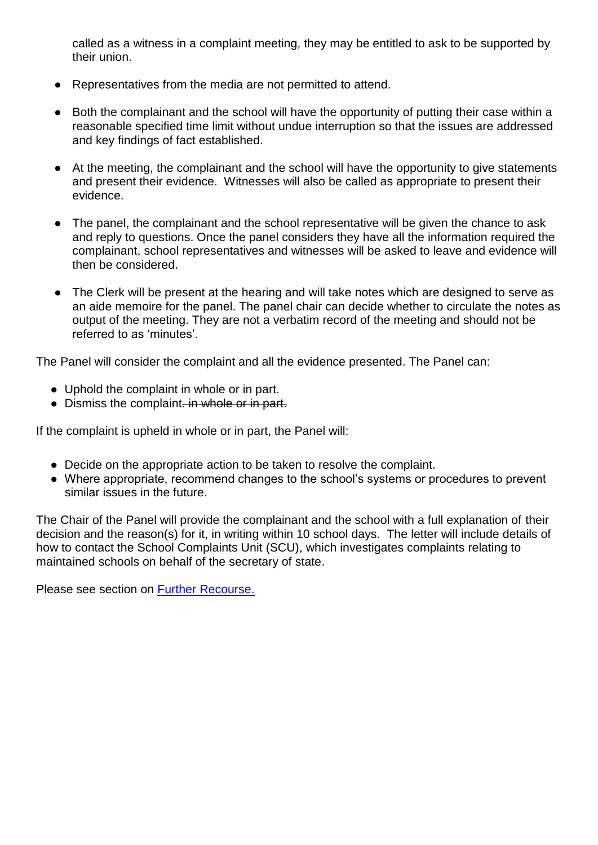called as a witness in a complaint meeting, they may be entitled to ask to be supported by their union.

- Representatives from the media are not permitted to attend.
- Both the complainant and the school will have the opportunity of putting their case within a reasonable specified time limit without undue interruption so that the issues are addressed and key findings of fact established.
- At the meeting, the complainant and the school will have the opportunity to give statements and present their evidence. Witnesses will also be called as appropriate to present their evidence.
- The panel, the complainant and the school representative will be given the chance to ask and reply to questions. Once the panel considers they have all the information required the complainant, school representatives and witnesses will be asked to leave and evidence will then be considered.
- The Clerk will be present at the hearing and will take notes which are designed to serve as an aide memoire for the panel. The panel chair can decide whether to circulate the notes as output of the meeting. They are not a verbatim record of the meeting and should not be referred to as 'minutes'.

The Panel will consider the complaint and all the evidence presented. The Panel can:

- Uphold the complaint in whole or in part.
- Dismiss the complaint. in whole or in part.

If the complaint is upheld in whole or in part, the Panel will:

- Decide on the appropriate action to be taken to resolve the complaint.
- Where appropriate, recommend changes to the school's systems or procedures to prevent similar issues in the future.

The Chair of the Panel will provide the complainant and the school with a full explanation of their decision and the reason(s) for it, in writing within 10 school days. The letter will include details of how to contact the School Complaints Unit (SCU), which investigates complaints relating to maintained schools on behalf of the secretary of state.

<span id="page-12-0"></span>Please see section on [Further Recourse.](#page-12-0)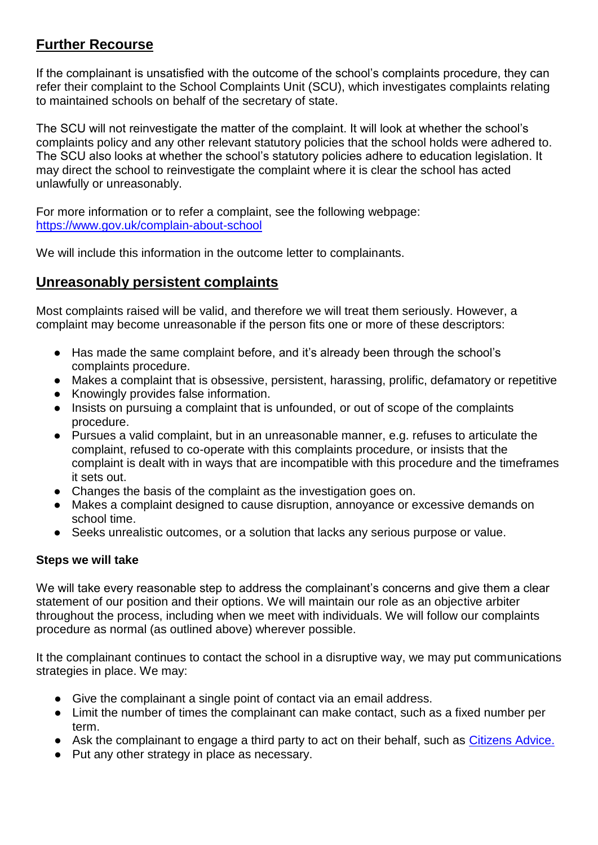# **Further Recourse**

If the complainant is unsatisfied with the outcome of the school's complaints procedure, they can refer their complaint to the School Complaints Unit (SCU), which investigates complaints relating to maintained schools on behalf of the secretary of state.

The SCU will not reinvestigate the matter of the complaint. It will look at whether the school's complaints policy and any other relevant statutory policies that the school holds were adhered to. The SCU also looks at whether the school's statutory policies adhere to education legislation. It may direct the school to reinvestigate the complaint where it is clear the school has acted unlawfully or unreasonably.

For more information or to refer a complaint, see the following webpage: <https://www.gov.uk/complain-about-school>

We will include this information in the outcome letter to complainants.

#### <span id="page-13-0"></span>**Unreasonably persistent complaints**

Most complaints raised will be valid, and therefore we will treat them seriously. However, a complaint may become unreasonable if the person fits one or more of these descriptors:

- Has made the same complaint before, and it's already been through the school's complaints procedure.
- Makes a complaint that is obsessive, persistent, harassing, prolific, defamatory or repetitive
- Knowingly provides false information.
- Insists on pursuing a complaint that is unfounded, or out of scope of the complaints procedure.
- Pursues a valid complaint, but in an unreasonable manner, e.g. refuses to articulate the complaint, refused to co-operate with this complaints procedure, or insists that the complaint is dealt with in ways that are incompatible with this procedure and the timeframes it sets out.
- Changes the basis of the complaint as the investigation goes on.
- Makes a complaint designed to cause disruption, annoyance or excessive demands on school time.
- Seeks unrealistic outcomes, or a solution that lacks any serious purpose or value.

#### **Steps we will take**

We will take every reasonable step to address the complainant's concerns and give them a clear statement of our position and their options. We will maintain our role as an objective arbiter throughout the process, including when we meet with individuals. We will follow our complaints procedure as normal (as outlined above) wherever possible.

It the complainant continues to contact the school in a disruptive way, we may put communications strategies in place. We may:

- Give the complainant a single point of contact via an email address.
- Limit the number of times the complainant can make contact, such as a fixed number per term.
- Ask the complainant to engage a third party to act on their behalf, such as [Citizens Advice.](https://www.citizensadvice.org.uk/)
- Put any other strategy in place as necessary.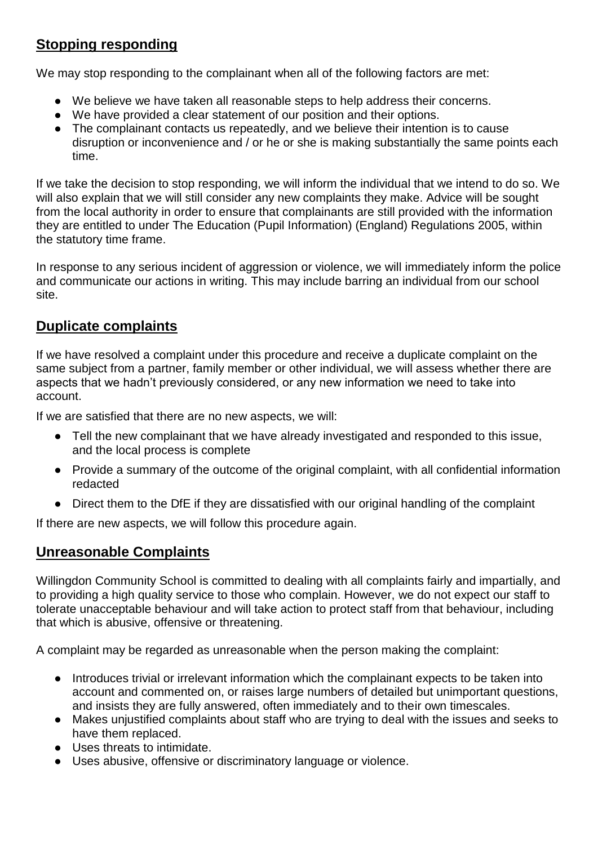# <span id="page-14-0"></span>**Stopping responding**

We may stop responding to the complainant when all of the following factors are met:

- We believe we have taken all reasonable steps to help address their concerns.
- We have provided a clear statement of our position and their options.
- The complainant contacts us repeatedly, and we believe their intention is to cause disruption or inconvenience and / or he or she is making substantially the same points each time.

If we take the decision to stop responding, we will inform the individual that we intend to do so. We will also explain that we will still consider any new complaints they make. Advice will be sought from the local authority in order to ensure that complainants are still provided with the information they are entitled to under The Education (Pupil Information) (England) Regulations 2005, within the statutory time frame.

In response to any serious incident of aggression or violence, we will immediately inform the police and communicate our actions in writing. This may include barring an individual from our school site.

## <span id="page-14-1"></span>**Duplicate complaints**

If we have resolved a complaint under this procedure and receive a duplicate complaint on the same subject from a partner, family member or other individual, we will assess whether there are aspects that we hadn't previously considered, or any new information we need to take into account.

If we are satisfied that there are no new aspects, we will:

- Tell the new complainant that we have already investigated and responded to this issue, and the local process is complete
- Provide a summary of the outcome of the original complaint, with all confidential information redacted
- Direct them to the DfE if they are dissatisfied with our original handling of the complaint

<span id="page-14-2"></span>If there are new aspects, we will follow this procedure again.

#### <span id="page-14-3"></span>**Unreasonable Complaints**

Willingdon Community School is committed to dealing with all complaints fairly and impartially, and to providing a high quality service to those who complain. However, we do not expect our staff to tolerate unacceptable behaviour and will take action to protect staff from that behaviour, including that which is abusive, offensive or threatening.

A complaint may be regarded as unreasonable when the person making the complaint:

- Introduces trivial or irrelevant information which the complainant expects to be taken into account and commented on, or raises large numbers of detailed but unimportant questions, and insists they are fully answered, often immediately and to their own timescales.
- Makes unjustified complaints about staff who are trying to deal with the issues and seeks to have them replaced.
- Uses threats to intimidate.
- Uses abusive, offensive or discriminatory language or violence.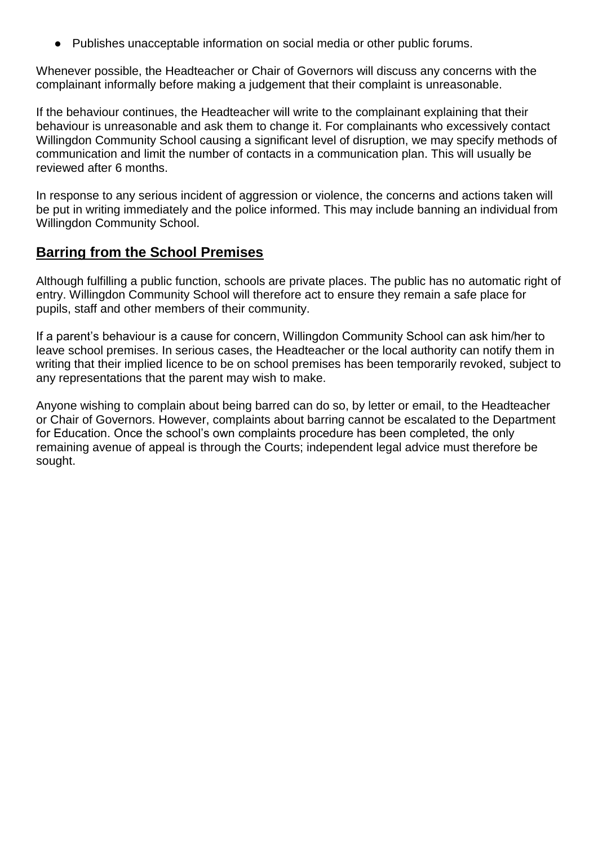● Publishes unacceptable information on social media or other public forums.

Whenever possible, the Headteacher or Chair of Governors will discuss any concerns with the complainant informally before making a judgement that their complaint is unreasonable.

If the behaviour continues, the Headteacher will write to the complainant explaining that their behaviour is unreasonable and ask them to change it. For complainants who excessively contact Willingdon Community School causing a significant level of disruption, we may specify methods of communication and limit the number of contacts in a communication plan. This will usually be reviewed after 6 months.

In response to any serious incident of aggression or violence, the concerns and actions taken will be put in writing immediately and the police informed. This may include banning an individual from Willingdon Community School.

#### <span id="page-15-0"></span>**Barring from the School Premises**

Although fulfilling a public function, schools are private places. The public has no automatic right of entry. Willingdon Community School will therefore act to ensure they remain a safe place for pupils, staff and other members of their community.

If a parent's behaviour is a cause for concern, Willingdon Community School can ask him/her to leave school premises. In serious cases, the Headteacher or the local authority can notify them in writing that their implied licence to be on school premises has been temporarily revoked, subject to any representations that the parent may wish to make.

Anyone wishing to complain about being barred can do so, by letter or email, to the Headteacher or Chair of Governors. However, complaints about barring cannot be escalated to the Department for Education. Once the school's own complaints procedure has been completed, the only remaining avenue of appeal is through the Courts; independent legal advice must therefore be sought.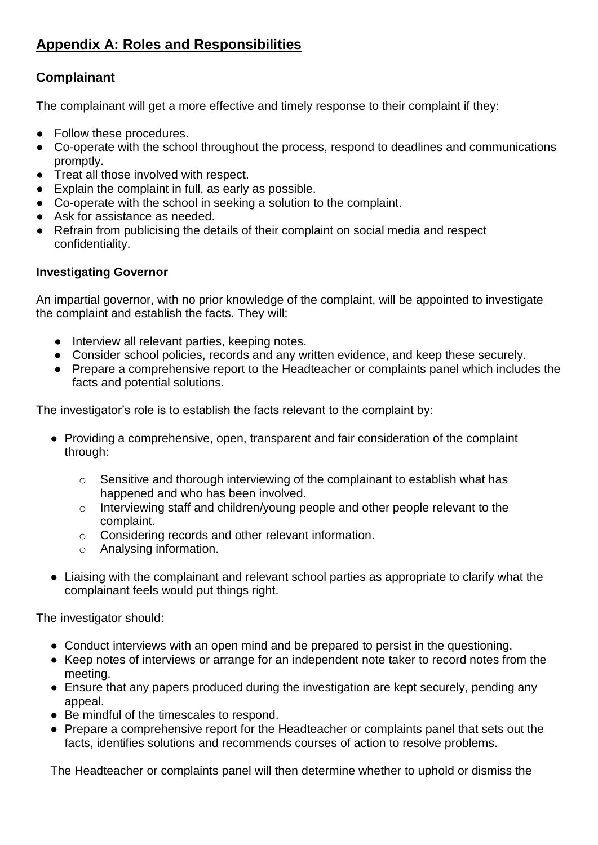# <span id="page-16-0"></span>**Appendix A: Roles and Responsibilities**

## <span id="page-16-1"></span>**Complainant**

The complainant will get a more effective and timely response to their complaint if they:

- Follow these procedures.
- Co-operate with the school throughout the process, respond to deadlines and communications promptly.
- Treat all those involved with respect.
- Explain the complaint in full, as early as possible.
- Co-operate with the school in seeking a solution to the complaint.
- Ask for assistance as needed.
- Refrain from publicising the details of their complaint on social media and respect confidentiality.

#### <span id="page-16-2"></span>**Investigating Governor**

An impartial governor, with no prior knowledge of the complaint, will be appointed to investigate the complaint and establish the facts. They will:

- Interview all relevant parties, keeping notes.
- Consider school policies, records and any written evidence, and keep these securely.
- Prepare a comprehensive report to the Headteacher or complaints panel which includes the facts and potential solutions.

The investigator's role is to establish the facts relevant to the complaint by:

- Providing a comprehensive, open, transparent and fair consideration of the complaint through:
	- o Sensitive and thorough interviewing of the complainant to establish what has happened and who has been involved.
	- o Interviewing staff and children/young people and other people relevant to the complaint.
	- o Considering records and other relevant information.
	- o Analysing information.
- Liaising with the complainant and relevant school parties as appropriate to clarify what the complainant feels would put things right.

The investigator should:

- Conduct interviews with an open mind and be prepared to persist in the questioning.
- Keep notes of interviews or arrange for an independent note taker to record notes from the meeting.
- Ensure that any papers produced during the investigation are kept securely, pending any appeal.
- Be mindful of the timescales to respond.
- Prepare a comprehensive report for the Headteacher or complaints panel that sets out the facts, identifies solutions and recommends courses of action to resolve problems.

The Headteacher or complaints panel will then determine whether to uphold or dismiss the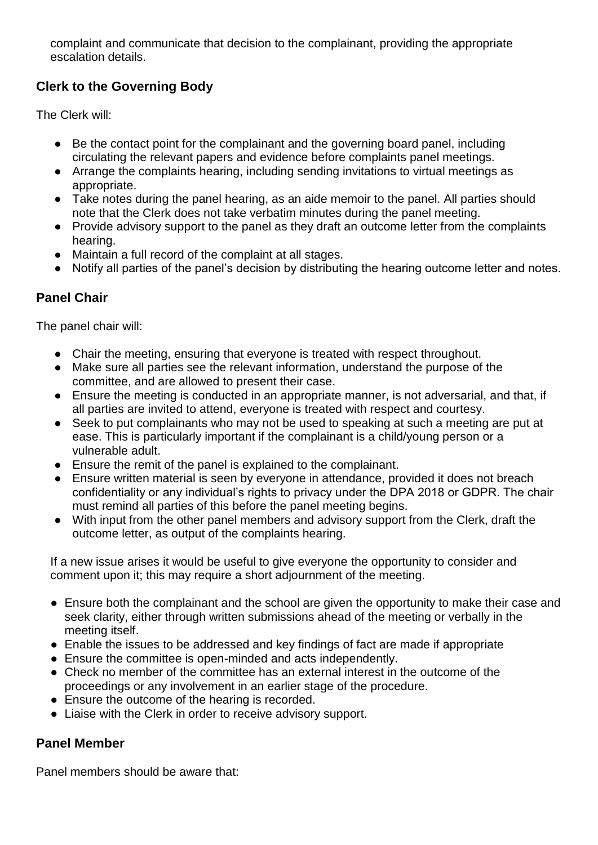complaint and communicate that decision to the complainant, providing the appropriate escalation details.

# <span id="page-17-0"></span>**Clerk to the Governing Body**

The Clerk will:

- Be the contact point for the complainant and the governing board panel, including circulating the relevant papers and evidence before complaints panel meetings.
- Arrange the complaints hearing, including sending invitations to virtual meetings as appropriate.
- Take notes during the panel hearing, as an aide memoir to the panel. All parties should note that the Clerk does not take verbatim minutes during the panel meeting.
- Provide advisory support to the panel as they draft an outcome letter from the complaints hearing.
- Maintain a full record of the complaint at all stages.
- Notify all parties of the panel's decision by distributing the hearing outcome letter and notes.

## <span id="page-17-1"></span>**Panel Chair**

The panel chair will:

- Chair the meeting, ensuring that everyone is treated with respect throughout.
- Make sure all parties see the relevant information, understand the purpose of the committee, and are allowed to present their case.
- Ensure the meeting is conducted in an appropriate manner, is not adversarial, and that, if all parties are invited to attend, everyone is treated with respect and courtesy.
- Seek to put complainants who may not be used to speaking at such a meeting are put at ease. This is particularly important if the complainant is a child/young person or a vulnerable adult.
- Ensure the remit of the panel is explained to the complainant.
- Ensure written material is seen by everyone in attendance, provided it does not breach confidentiality or any individual's rights to privacy under the DPA 2018 or GDPR. The chair must remind all parties of this before the panel meeting begins.
- With input from the other panel members and advisory support from the Clerk, draft the outcome letter, as output of the complaints hearing.

If a new issue arises it would be useful to give everyone the opportunity to consider and comment upon it; this may require a short adjournment of the meeting.

- Ensure both the complainant and the school are given the opportunity to make their case and seek clarity, either through written submissions ahead of the meeting or verbally in the meeting itself.
- Enable the issues to be addressed and key findings of fact are made if appropriate
- Ensure the committee is open-minded and acts independently.
- Check no member of the committee has an external interest in the outcome of the proceedings or any involvement in an earlier stage of the procedure.
- Ensure the outcome of the hearing is recorded.
- Liaise with the Clerk in order to receive advisory support.

## <span id="page-17-2"></span>**Panel Member**

Panel members should be aware that: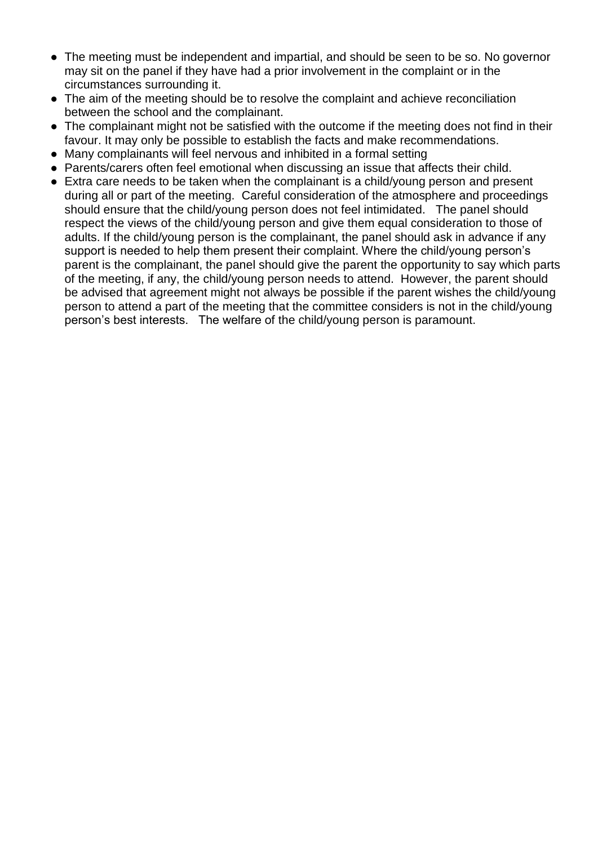- The meeting must be independent and impartial, and should be seen to be so. No governor may sit on the panel if they have had a prior involvement in the complaint or in the circumstances surrounding it.
- The aim of the meeting should be to resolve the complaint and achieve reconciliation between the school and the complainant.
- The complainant might not be satisfied with the outcome if the meeting does not find in their favour. It may only be possible to establish the facts and make recommendations.
- Many complainants will feel nervous and inhibited in a formal setting
- Parents/carers often feel emotional when discussing an issue that affects their child.
- Extra care needs to be taken when the complainant is a child/young person and present during all or part of the meeting. Careful consideration of the atmosphere and proceedings should ensure that the child/young person does not feel intimidated. The panel should respect the views of the child/young person and give them equal consideration to those of adults. If the child/young person is the complainant, the panel should ask in advance if any support is needed to help them present their complaint. Where the child/young person's parent is the complainant, the panel should give the parent the opportunity to say which parts of the meeting, if any, the child/young person needs to attend. However, the parent should be advised that agreement might not always be possible if the parent wishes the child/young person to attend a part of the meeting that the committee considers is not in the child/young person's best interests. The welfare of the child/young person is paramount.